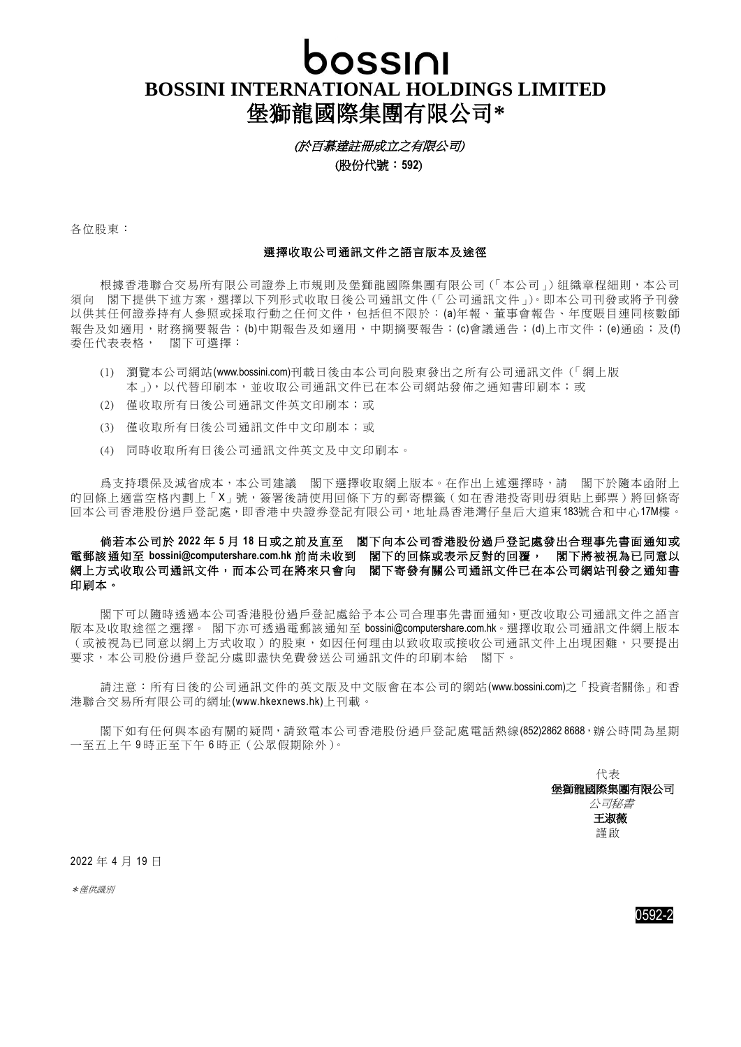## bossini

## **BOSSINI INTERNATIONAL HOLDINGS LIMITED** 堡獅龍國際集團有限公司**\***

(於百慕達註冊成立之有限公司)

(股份代號:**592**)

各位股東:

## 選擇收取公司通訊文件之語言版本及途徑

根據香港聯合交易所有限公司證券上市規則及堡獅龍國際集團有限公司(「本公司」)組織章程細則,本公司 須向 閣下提供下述方案,選擇以下列形式收取日後公司通訊文件(「公司通訊文件」)。即本公司刊發或將予刊發 以供其任何證券持有人參照或採取行動之任何文件,包括但不限於:(a)年報、董事會報告、年度賬目連同核數師 報告及如適用,財務摘要報告;(b)中期報告及如適用,中期摘要報告;(c)會議通告;(d)上市文件;(e)通函;及(f) 委任代表表格, 閣下可選擇:

- (1) 瀏覽本公司網站[\(www.bossini.com\)](http://www.bossini.com/)刊載日後由本公司向股東發出之所有公司通訊文件(「網上版 本」),以代替印刷本,並收取公司通訊文件已在本公司網站發佈之通知書印刷本;或
- (2) 僅收取所有日後公司通訊文件英文印刷本;或
- (3) 僅收取所有日後公司通訊文件中文印刷本;或
- (4) 同時收取所有日後公司通訊文件英文及中文印刷本。

爲支持環保及減省成本,本公司建議 閣下選擇收取網上版本。在作出上述選擇時,請 閣下於隨本函附上 的回條上適當空格內劃上「X」號,簽署後請使用回條下方的郵寄標籤(如在香港投寄則毋須貼上郵票)將回條寄 回本公司香港股份過戶登記處,即香港中央證券登記有限公司,地址爲香港灣仔皇后大道東183號合和中心17M樓。

## 倘若本公司於 **2022** 年 **5** 月 **18** 日或之前及直至 閣下向本公司香港股份過戶登記處發出合理事先書面通知或 電郵該通知至 **[bossini@computershare.com.hk](mailto:bossini@computershare.com.hk)** 前尚未收到 閣下的回條或表示反對的回覆, 閣下將被視為已同意以 網上方式收取公司通訊文件,而本公司在將來只會向 閣下寄發有關公司通訊文件已在本公司網站刊發之通知書 印刷本。

閣下可以隨時透過本公司香港股份過戶登記處給予本公司合理事先書面通知,更改收取公司通訊文件之語言 版本及收取途徑之選擇。 閣下亦可诱過雷郵該通知至 [bossini@computershare.com.hk](mailto:bossini@computershare.com.hk)。選擇收取公司通訊文件網上版本 (或被視為已同意以網上方式收取)的股東,如因任何理由以致收取或接收公司通訊文件上出現困難,只要提出 要求,本公司股份過戶登記分處即盡快免費發送公司通訊文件的印刷本給 閣下。

請注意:所有日後的公司通訊文件的英文版及中文版會在本公司的網站[\(www.bossini.com\)](http://www.bossini.com/)之「投資者關係」和香 港聯合交易所有限公司的網址[\(www.hkexnews.hk\)](http://www.hkexnews.hk/)上刊載。

閣下如有任何與本函有關的疑問,請致電本公司香港股份過戶登記處電話熱線(852)2862 8688,辦公時間為星期 一至五上午 9 時正至下午 6 時正(公眾假期除外)。

代表 堡獅龍國際集團有限公司 **个人的人的人物,这个人都是一个人的人的人物,但是他们的人的人物,但是他们的人的人物,这个人都是**  王淑薇 謹啟

2022 年 4 月 19 日

\*僅供識別

0592-2